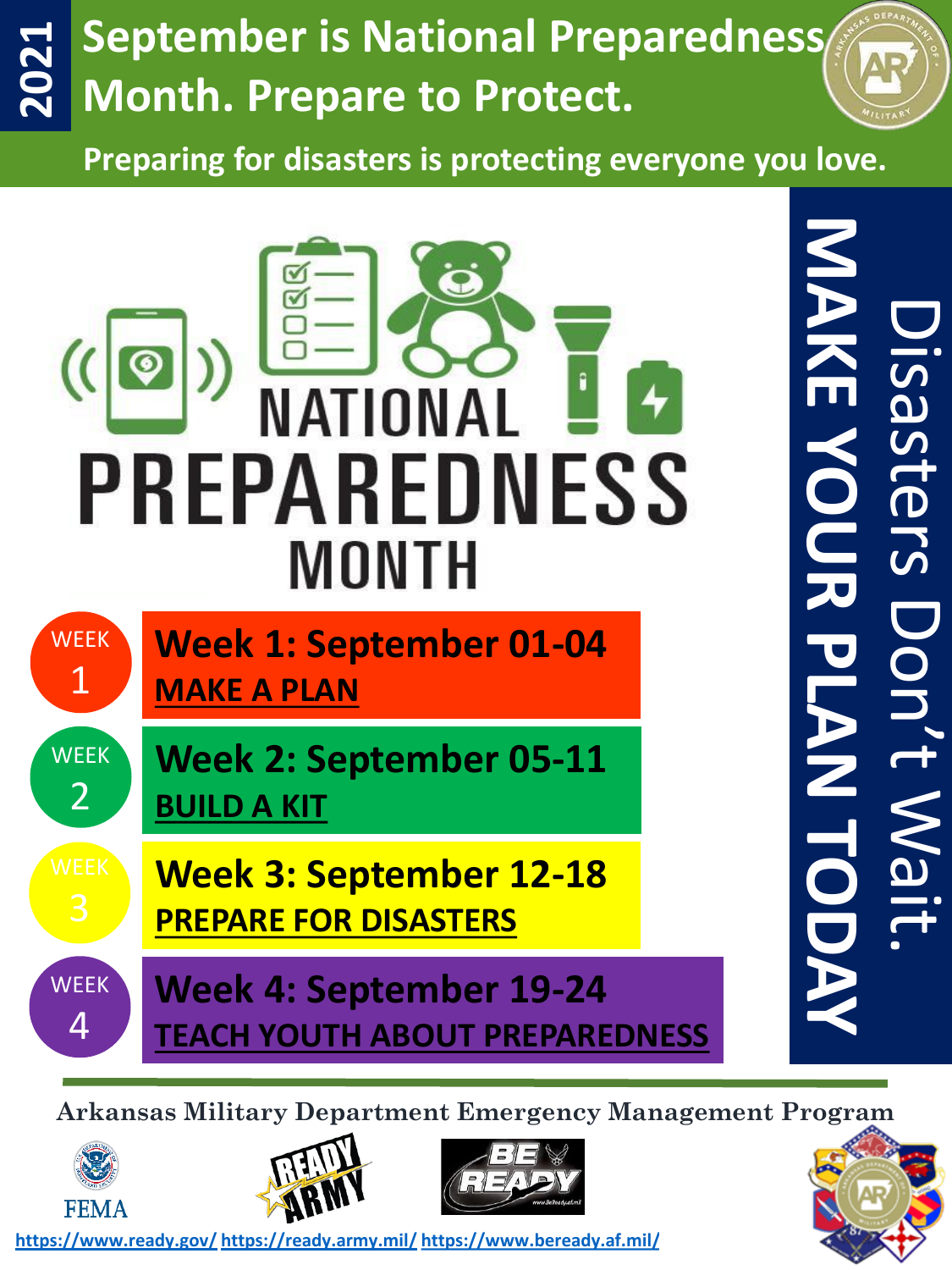## **September is National Preparedness 2021 Month. Prepare to Protect.**

**Preparing for disasters is protecting everyone you love.**



**Arkansas Military Department Emergency Management Program**





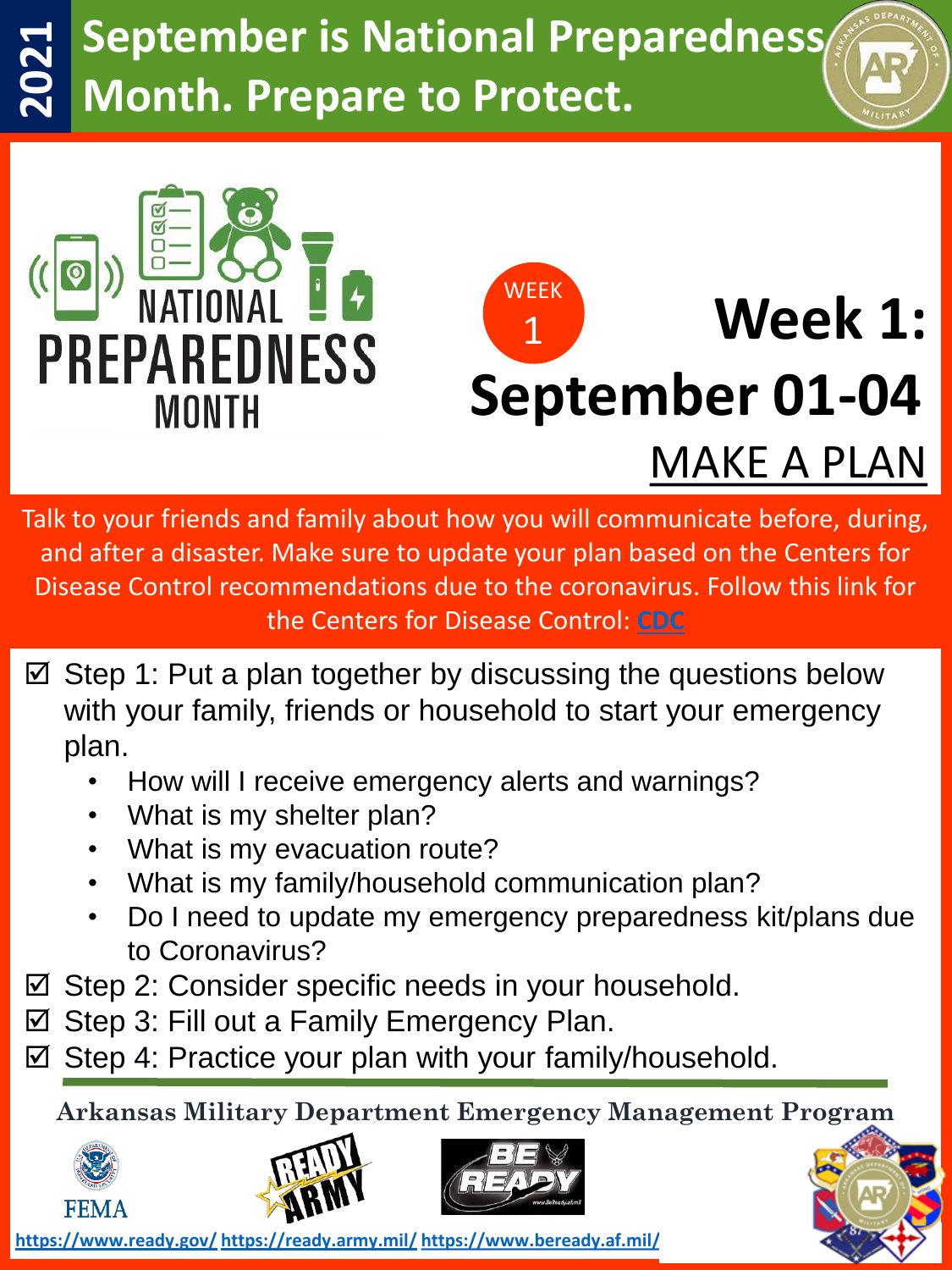## **September is National Preparedness 2021 Month. Prepare to Protect.**





Talk to your friends and family about how you will communicate before, during, and after a disaster. Make sure to update your plan based on the Centers for Disease Control recommendations due to the coronavirus. Follow this link for the Centers for Disease Control: **[CDC](https://www.cdc.gov/)**

- $\boxtimes$  Step 1: Put a plan together by discussing the questions below with your family, friends or household to start your emergency plan.
	- How will I receive emergency alerts and warnings?
	- What is my shelter plan?
	- What is my evacuation route?
	- What is my family/household communication plan?
	- Do I need to update my emergency preparedness kit/plans due to Coronavirus?
- $\boxtimes$  Step 2: Consider specific needs in your household.
- $\boxtimes$  Step 3: Fill out a Family Emergency Plan.
- $\boxtimes$  Step 4: Practice your plan with your family/household.

**Arkansas Military Department Emergency Management Program**







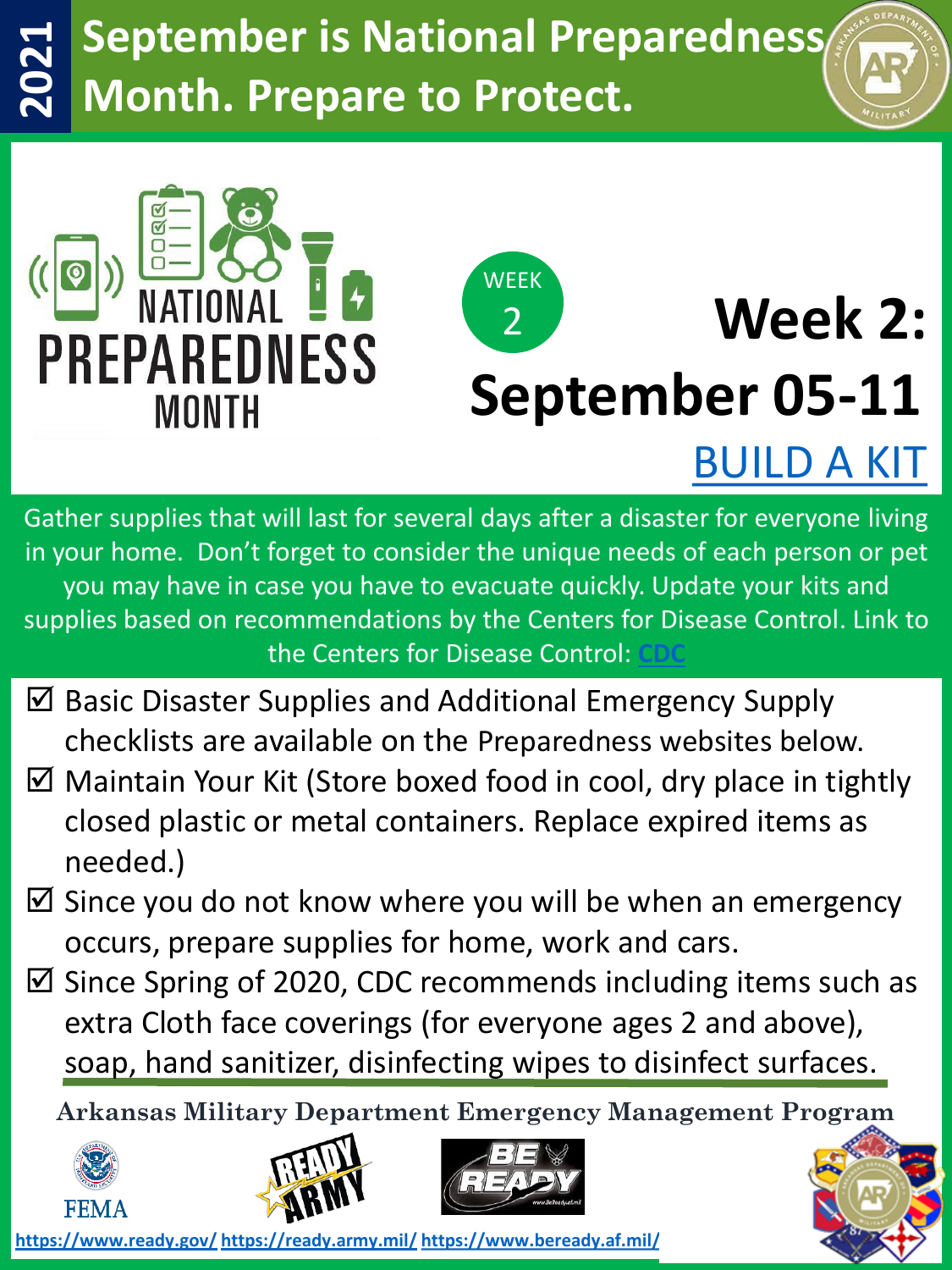## **September is National Preparedness 2021 Month. Prepare to Protect.**





# **Week 2: September 05-11**

[BUILD A KIT](https://www.ready.gov/kit)

Gather supplies that will last for several days after a disaster for everyone living in your home. Don't forget to consider the unique needs of each person or pet you may have in case you have to evacuate quickly. Update your kits and supplies based on recommendations by the Centers for Disease Control. Link to the Centers for Disease Control:

- $\boxtimes$  Basic Disaster Supplies and Additional Emergency Supply checklists are available on the Preparedness websites below.
- $\boxtimes$  Maintain Your Kit (Store boxed food in cool, dry place in tightly closed plastic or metal containers. Replace expired items as needed.)
- $\boxtimes$  Since you do not know where you will be when an emergency occurs, prepare supplies for home, work and cars.
- $\boxtimes$  Since Spring of 2020, CDC recommends including items such as extra Cloth face coverings (for everyone ages 2 and above), soap, hand sanitizer, disinfecting wipes to disinfect surfaces.

**Arkansas Military Department Emergency Management Program**







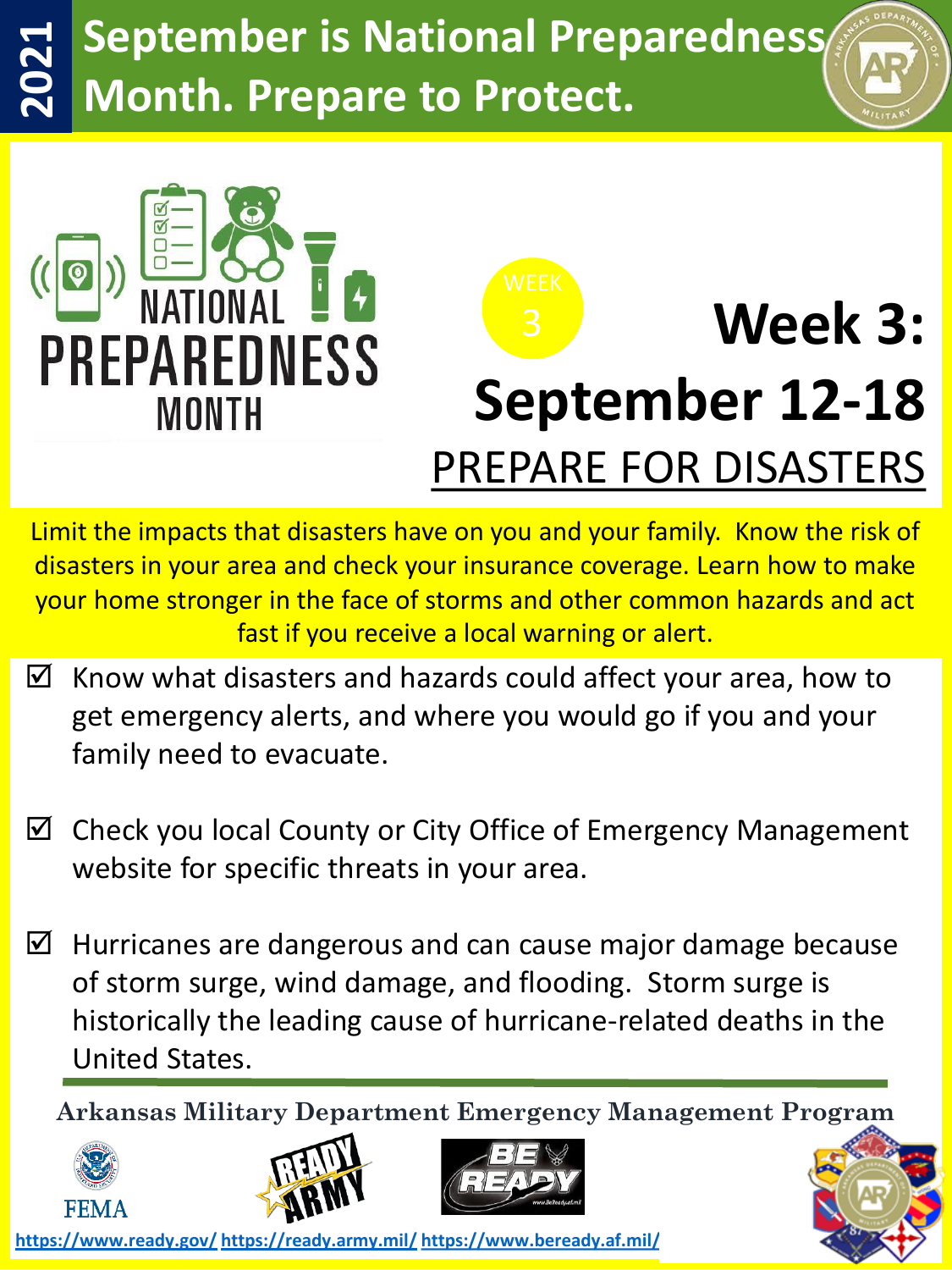## **September is National Preparedness 2021 Month. Prepare to Protect.**





Limit the impacts that disasters have on you and your family. Know the risk of disasters in your area and check your insurance coverage. Learn how to make your home stronger in the face of storms and other common hazards and act fast if you receive a local warning or alert.

- $\boxtimes$  Know what disasters and hazards could affect your area, how to get emergency alerts, and where you would go if you and your family need to evacuate.
- $\boxtimes$  Check you local County or City Office of Emergency Management website for specific threats in your area.
- $\boxtimes$  Hurricanes are dangerous and can cause major damage because of storm surge, wind damage, and flooding. Storm surge is historically the leading cause of hurricane-related deaths in the United States.

**Arkansas Military Department Emergency Management Program**